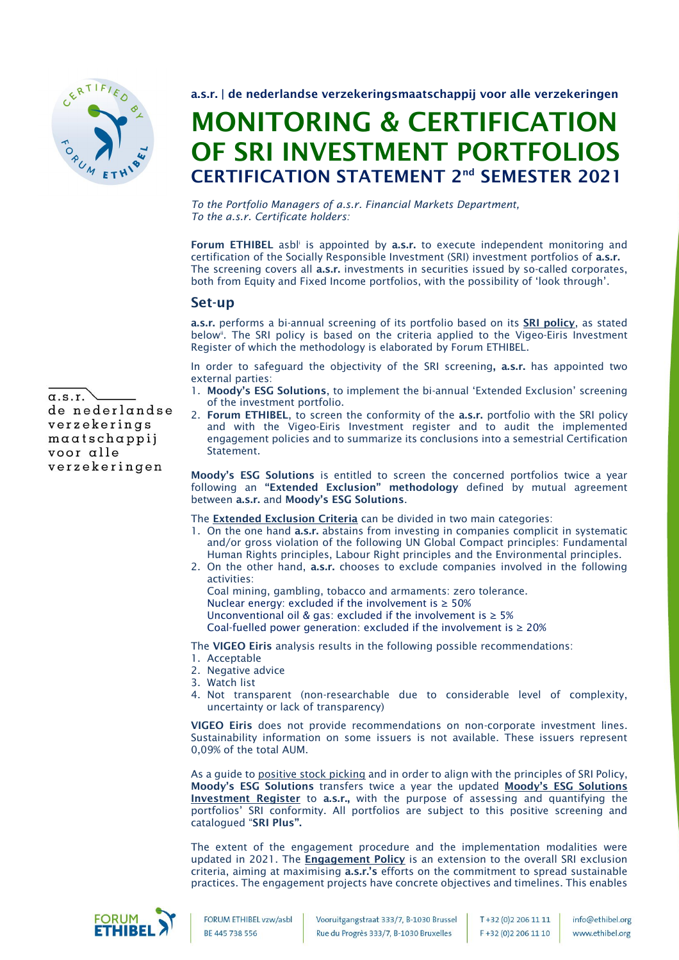

a.s.r. | de nederlandse verzekeringsmaatschappij voor alle verzekeringen

## MONITORING & CERTIFICATION OF SRI INVESTMENT PORTFOLIOS CERTIFICATION STATEMENT 2<sup>nd</sup> SEMESTER 2021

*To the Portfolio Managers of a.s.r. Financial Markets Department, To the a.s.r. Certificate holders:*

Forum ETHIBEL asbl' is appointed by a.s.r. to execute independent monitoring and certification of the Socially Responsible Investment (SRI) investment portfolios of a.s.r. The screening covers all a.s.r. investments in securities issued by so-called corporates, both from Equity and Fixed Income portfolios, with the possibility of 'look through'.

## Set-up

a.s.r. performs a bi-annual screening of its portfolio based on its SRI policy, as stated below<sup>ii</sup>. The SRI policy is based on the criteria applied to the Vigeo-Eiris Investment Register of which the methodology is elaborated by Forum ETHIBEL.

In order to safeguard the objectivity of the SRI screening, a.s.r. has appointed two external parties:

- 1. Moody's ESG Solutions, to implement the bi-annual 'Extended Exclusion' screening of the investment portfolio.
- 2. Forum ETHIBEL, to screen the conformity of the a.s.r. portfolio with the SRI policy and with the Vigeo-Eiris Investment register and to audit the implemented engagement policies and to summarize its conclusions into a semestrial Certification Statement.

Moody's ESG Solutions is entitled to screen the concerned portfolios twice a year following an "Extended Exclusion" methodology defined by mutual agreement between a.s.r. and Moody's ESG Solutions.

The Extended Exclusion Criteria can be divided in two main categories:

- 1. On the one hand a.s.r. abstains from investing in companies complicit in systematic and/or gross violation of the following UN Global Compact principles: Fundamental Human Rights principles, Labour Right principles and the Environmental principles.
- 2. On the other hand, a.s.r. chooses to exclude companies involved in the following activities:
	- Coal mining, gambling, tobacco and armaments: zero tolerance. Nuclear energy: excluded if the involvement is  $\geq 50\%$ Unconventional oil & gas: excluded if the involvement is ≥ 5%
	- Coal-fuelled power generation: excluded if the involvement is  $\geq 20\%$

The VIGEO Eiris analysis results in the following possible recommendations:

- 1. Acceptable
- 2. Negative advice
- 3. Watch list
- 4. Not transparent (non-researchable due to considerable level of complexity, uncertainty or lack of transparency)

VIGEO Eiris does not provide recommendations on non-corporate investment lines. Sustainability information on some issuers is not available. These issuers represent 0,09% of the total AUM.

As a guide to positive stock picking and in order to align with the principles of SRI Policy, Moody's ESG Solutions transfers twice a year the updated Moody's ESG Solutions Investment Register to a.s.r., with the purpose of assessing and quantifying the portfolios' SRI conformity. All portfolios are subject to this positive screening and catalogued "SRI Plus".

The extent of the engagement procedure and the implementation modalities were updated in 2021. The Engagement Policy is an extension to the overall SRI exclusion criteria, aiming at maximising a.s.r.'s efforts on the commitment to spread sustainable practices. The engagement projects have concrete objectives and timelines. This enables



FORUM ETHIBEL vzw/asbl **RF 445 738 556** 

 $\alpha$ .s.r. de nederlandse verzekerings  $maxatschappij$ voor alle verzekeringen